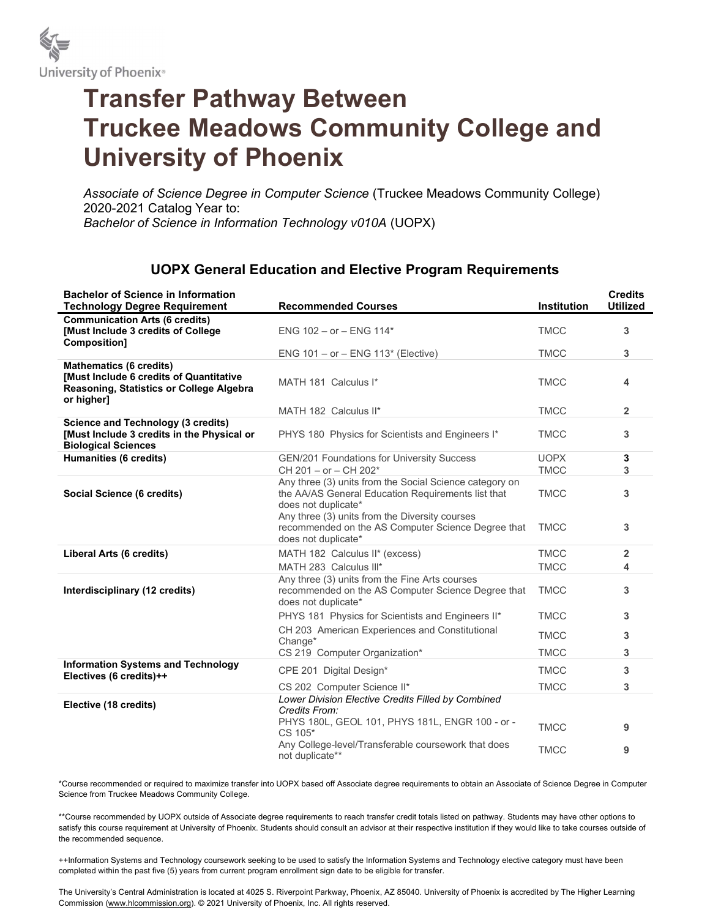

## Transfer Pathway Between Truckee Meadows Community College and University of Phoenix

Associate of Science Degree in Computer Science (Truckee Meadows Community College) 2020-2021 Catalog Year to: Bachelor of Science in Information Technology v010A (UOPX)

## UOPX General Education and Elective Program Requirements

| <b>Bachelor of Science in Information</b><br><b>Technology Degree Requirement</b>                                                          | <b>Recommended Courses</b>                                                                                                           | Institution                | <b>Credits</b><br><b>Utilized</b> |
|--------------------------------------------------------------------------------------------------------------------------------------------|--------------------------------------------------------------------------------------------------------------------------------------|----------------------------|-----------------------------------|
| <b>Communication Arts (6 credits)</b><br>[Must Include 3 credits of College]<br>Composition]                                               | ENG $102 - or - ENG 114*$                                                                                                            | <b>TMCC</b>                | 3                                 |
|                                                                                                                                            | ENG $101 - or - ENG 113*$ (Elective)                                                                                                 | <b>TMCC</b>                | 3                                 |
| <b>Mathematics (6 credits)</b><br><b>IMust Include 6 credits of Quantitative</b><br>Reasoning, Statistics or College Algebra<br>or higher] | MATH 181 Calculus I*                                                                                                                 | <b>TMCC</b>                | 4                                 |
|                                                                                                                                            | MATH 182 Calculus II*                                                                                                                | <b>TMCC</b>                | $\overline{2}$                    |
| <b>Science and Technology (3 credits)</b><br>[Must Include 3 credits in the Physical or<br><b>Biological Sciences</b>                      | PHYS 180 Physics for Scientists and Engineers I*                                                                                     | <b>TMCC</b>                | 3                                 |
| Humanities (6 credits)                                                                                                                     | GEN/201 Foundations for University Success<br>CH 201 - or - CH 202*                                                                  | <b>UOPX</b><br><b>TMCC</b> | 3<br>3                            |
| Social Science (6 credits)                                                                                                                 | Any three (3) units from the Social Science category on<br>the AA/AS General Education Requirements list that<br>does not duplicate* | <b>TMCC</b>                | 3                                 |
|                                                                                                                                            | Any three (3) units from the Diversity courses<br>recommended on the AS Computer Science Degree that<br>does not duplicate*          | <b>TMCC</b>                | 3                                 |
| Liberal Arts (6 credits)                                                                                                                   | MATH 182 Calculus II* (excess)                                                                                                       | <b>TMCC</b>                | $\overline{2}$                    |
|                                                                                                                                            | MATH 283 Calculus III*                                                                                                               | <b>TMCC</b>                | 4                                 |
| Interdisciplinary (12 credits)                                                                                                             | Any three (3) units from the Fine Arts courses<br>recommended on the AS Computer Science Degree that<br>does not duplicate*          | <b>TMCC</b>                | 3                                 |
|                                                                                                                                            | PHYS 181 Physics for Scientists and Engineers II*                                                                                    | <b>TMCC</b>                | 3                                 |
|                                                                                                                                            | CH 203 American Experiences and Constitutional<br>Change*                                                                            | <b>TMCC</b>                | 3                                 |
|                                                                                                                                            | CS 219 Computer Organization*                                                                                                        | <b>TMCC</b>                | 3                                 |
| <b>Information Systems and Technology</b><br>Electives (6 credits)++                                                                       | CPE 201 Digital Design*                                                                                                              | <b>TMCC</b>                | 3                                 |
|                                                                                                                                            | CS 202 Computer Science II*                                                                                                          | <b>TMCC</b>                | 3                                 |
| Elective (18 credits)                                                                                                                      | Lower Division Elective Credits Filled by Combined<br>Credits From:                                                                  |                            |                                   |
|                                                                                                                                            | PHYS 180L, GEOL 101, PHYS 181L, ENGR 100 - or -<br>CS 105*                                                                           | <b>TMCC</b>                | 9                                 |
|                                                                                                                                            | Any College-level/Transferable coursework that does<br>not duplicate**                                                               | <b>TMCC</b>                | 9                                 |

\*Course recommended or required to maximize transfer into UOPX based off Associate degree requirements to obtain an Associate of Science Degree in Computer Science from Truckee Meadows Community College.

\*\*Course recommended by UOPX outside of Associate degree requirements to reach transfer credit totals listed on pathway. Students may have other options to satisfy this course requirement at University of Phoenix. Students should consult an advisor at their respective institution if they would like to take courses outside of the recommended sequence.

++Information Systems and Technology coursework seeking to be used to satisfy the Information Systems and Technology elective category must have been completed within the past five (5) years from current program enrollment sign date to be eligible for transfer.

The University's Central Administration is located at 4025 S. Riverpoint Parkway, Phoenix, AZ 85040. University of Phoenix is accredited by The Higher Learning Commission (www.hlcommission.org). © 2021 University of Phoenix, Inc. All rights reserved.